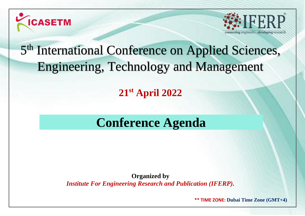



# 5<sup>th</sup> International Conference on Applied Sciences, Engineering, Technology and Management

**21 st April 2022**

## **Conference Agenda**

**Organized by** *Institute For Engineering Research and Publication (IFERP).*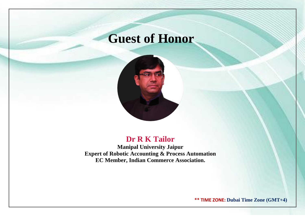## **Guest of Honor**



### **Dr R K Tailor**

**Manipal University Jaipur Expert of Robotic Accounting & Process Automation EC Member, Indian Commerce Association.**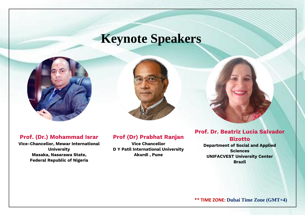## **Keynote Speakers**





#### **Prof. (Dr.) Mohammad Israr**

**Vice-Chancellor, Mewar International University Masaka, Nasarawa State, Federal Republic of Nigeria**

#### **Prof (Dr) Prabhat Ranjan**

**Vice Chancellor D Y Patil International University Akurdi , Pune**

#### **Prof. Dr. Beatriz Lucia Salvador Bizotto**

**Department of Social and Applied Sciences UNIFACVEST University Center Brazil**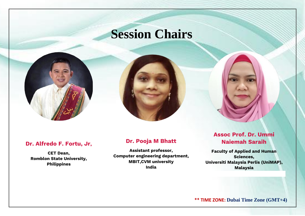## **Session Chairs**

### **Dr. Alfredo F. Fortu, Jr,**

**CET Dean, Romblon State University, Philippines**

#### **Dr. Pooja M Bhatt**

**Assistant professor, Computer engineering department, MBIT,CVM university India**

#### **Assoc Prof. Dr. Ummi Naiemah Saraih**

**Faculty of Applied and Human Sciences, Universiti Malaysia Perlis (UniMAP), Malaysia**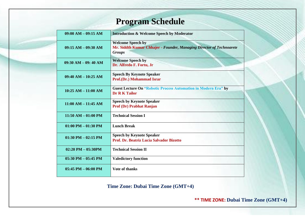### **Program Schedule**

| $09:00 AM - 09:15 AM$   | <b>Introduction &amp; Welcome Speech by Moderator</b>                                                             |
|-------------------------|-------------------------------------------------------------------------------------------------------------------|
| $09:15 AM - 09:30 AM$   | <b>Welcome Speech by</b><br>Mr. Siddth Kumar Chhajer - Founder, Managing Director of Technoarete<br><b>Groups</b> |
| $09:30 AM - 09:40 AM$   | <b>Welcome Speech by</b><br>Dr. Alfredo F. Fortu, Jr                                                              |
| $09:40$ AM $- 10:25$ AM | <b>Speech By Keynote Speaker</b><br>Prof.(Dr.) Mohammad Israr                                                     |
| $10:25 AM - 11:00 AM$   | <b>Guest Lecture On "Robotic Process Automation in Modern Era" by</b><br><b>Dr R K Tailor</b>                     |
| $11:00$ AM $- 11:45$ AM | <b>Speech by Keynote Speaker</b><br><b>Prof (Dr) Prabhat Ranjan</b>                                               |
| $11:50 AM - 01:00 PM$   | <b>Technical Session I</b>                                                                                        |
| $01:00$ PM $- 01:30$ PM | <b>Lunch Break</b>                                                                                                |
| $01:30$ PM $-02:15$ PM  | <b>Speech by Keynote Speaker</b><br>Prof. Dr. Beatriz Lucia Salvador Bizotto                                      |
| $02:20$ PM $- 05:30$ PM | <b>Technical Session II</b>                                                                                       |
| $05:30$ PM $- 05:45$ PM | <b>Valedictory function</b>                                                                                       |
| $05:45$ PM $- 06:00$ PM | <b>Vote of thanks</b>                                                                                             |

**Time Zone: Dubai Time Zone (GMT+4)**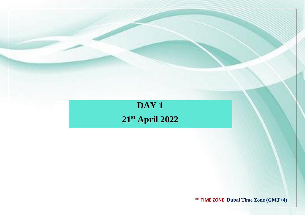### **DAY 1 21st April 2022**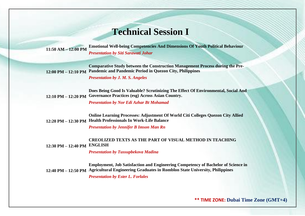### **Technical Session I**

**11:50 AM – 12:00 PM Emotional Well-being Competencies And Dimensions Of Youth Political Behaviour** *Presentation by Siti Sarawati Johar*

**12:00 PM – 12:10 PM Pandemic and Pandemic Period in Quezon City, Philippines Comparative Study between the Construction Management Process during the Pre-**

*Presentation by J. M. S. Angeles*

**12:10 PM – 12:20 PM Governance Practices (esg) Across Asian Country. Does Being Good Is Valuable? Scrutinizing The Effect Of Environmental, Social And** 

*Presentation by Nor Edi Azhar Bt Mohamad*

**12:20 PM – 12:30 PM Health Professionals In Work-Life Balance Online Learning Processes: Adjustment Of World Citi Colleges Quezon City Allied** 

*Presentation by Jennifer B Imson Man Rn*

**12:30 PM – 12:40 PM ENGLISH CREOLIZED TEXTS AS THE PART OF VISUAL METHOD IN TEACHING** 

*Presentation by Tussupbekova Madina*

**12:40 PM – 12:50 PM Agricultural Engineering Graduates in Romblon State University, Philippines Employment, Job Satisfaction and Engineering Competency of Bachelor of Science in**  *Presentation by Ester L. Forlales*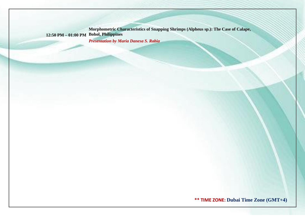**12:50 PM – 01:00 PM Bohol, Philippines Morphometric Characteristics of Snapping Shrimps (Alpheus sp.): The Case of Calape,**  *Presentation by Maria Danesa S. Rabia*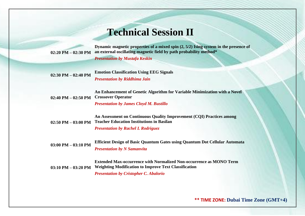### **Technical Session II**

**Dynamic magnetic properties of a mixed spin (2, 5/2) Ising system in the presence of** 

**02:20 PM – 02:30 PM an external oscillating magnetic field by path probability method\*** *Presentation by Mustafa Keskin* **02:30 PM – 02:40 PM Emotion Classification Using EEG Signals** *Presentation by Riddhima Jain* **02:40 PM – 02:50 PM Crossover Operator An Enhancement of Genetic Algorithm for Variable Minimization with a Novel**  *Presentation by James Cloyd M. Bustillo* **02:50 PM – 03:00 PM Teacher Education Institutions in Basilan An Assessment on Continuous Quality Improvement (CQI) Practices among**  *Presentation by Rachel L Rodriguez* **03:00 PM – 03:10 PM Efficient Design of Basic Quantum Gates using Quantum Dot Cellular Automata** *Presentation by N Samanvita*

**03:10 PM – 03:20 PM Extended Max-occurrence with Normalized Non-occurrence as MONO Term Weighting Modification to Improve Text Classification** *Presentation by Cristopher C. Abalorio*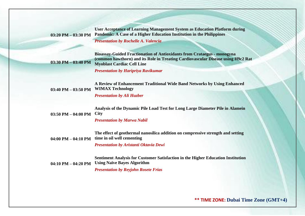**03:20 PM – 03:30 PM User Acceptance of Learning Management System as Education Platform during Pandemic: A Case of a Higher Education Institution in the Philippines**

*Presentation by Rochelle A. Valencia*

**Bioassay-Guided Fractionation of Antioxidants from Crataegus - monogyna (common hawthorn) and its Role in Treating Cardiovascular Disease using H9c2 Rat Myoblast Cardiac Cell Line**

*Presentation by Haripriya Ravikumar*

**03:40 PM – 03:50 PM A Review of Enhancement Traditional Wide Band Networks by Using Enhanced WIMAX Technology**

*Presentation by Ali Huzber*

**03:30 PM – 03:40 PM**

|                            | Analysis of the Dynamic Pile Load Test for Long Large Diameter Pile in Alamein         |
|----------------------------|----------------------------------------------------------------------------------------|
| 03:50 PM $-$ 04:00 PM City |                                                                                        |
|                            | $D_{\text{max}}$ and $\mu$ is a let $M_{\text{max}}$ $\mu$ M <sub>a</sub> $\mu$ if $I$ |

*Presentation by Marwa Nabil*

**04:00 PM – 04:10 PM time in oil well cementing The effect of geothermal nanosilica addition on compressive strength and setting** 

*Presentation by Aristanti Oktavia Dewi*

**04:10 PM – 04:20 PM Using Naïve Bayes Algorithm Sentiment Analysis for Customer Satisfaction in the Higher Education Institution** 

*Presentation by Reyjohn Rosete Frias*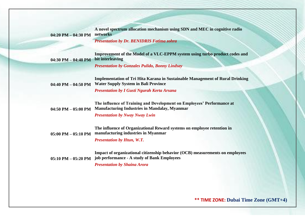**04:20 PM – 04:30 PM A novel spectrum allocation mechanism using SDN and MEC in cognitive radio networks**

*Presentation by Dr. BENIDRIS Fatima zohra* 

**04:30 PM – 04:40 PM Improvement of the Model of a VLC-EPPM system using turbo product codes and bit interleaving**

*Presentation by Gonzales Pulido, Bonny Lindsay*

**04:40 PM – 04:50 PM Implementation of Tri Hita Karana in Sustainable Management of Rural Drinking Water Supply System in Bali Province**

*Presentation by I Gusti Ngurah Kerta Arsana*

**04:50 PM – 05:00 PM The influence of Training and Development on Employees' Performance at Manufacturing Industries in Mandalay, Myanmar**

*Presentation by Nway Nway Lwin*

**05:00 PM – 05:10 PM manufacturing industries in Myanmar The influence of Organizational Reward systems on employee retention in** 

*Presentation by Htun, W.T.*

**05:10 PM – 05:20 PM job performance - A study of Bank Employees Impact of organizational citizenship behavior (OCB) measurements on employees** 

*Presentation by Shaina Arora*